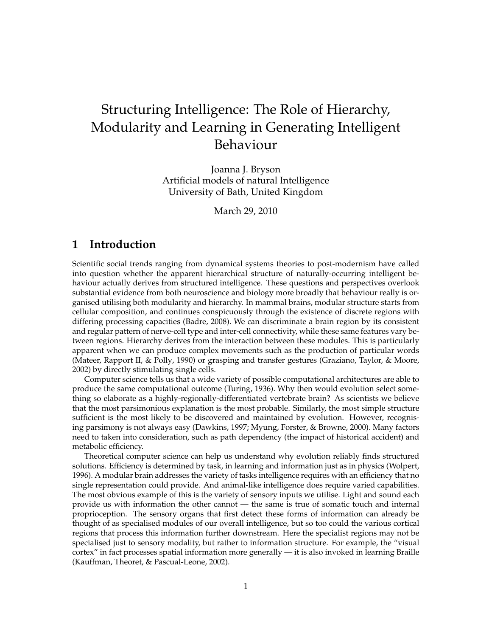# Structuring Intelligence: The Role of Hierarchy, Modularity and Learning in Generating Intelligent Behaviour

Joanna J. Bryson Artificial models of natural Intelligence University of Bath, United Kingdom

March 29, 2010

## **1 Introduction**

Scientific social trends ranging from dynamical systems theories to post-modernism have called into question whether the apparent hierarchical structure of naturally-occurring intelligent behaviour actually derives from structured intelligence. These questions and perspectives overlook substantial evidence from both neuroscience and biology more broadly that behaviour really is organised utilising both modularity and hierarchy. In mammal brains, modular structure starts from cellular composition, and continues conspicuously through the existence of discrete regions with differing processing capacities (Badre, 2008). We can discriminate a brain region by its consistent and regular pattern of nerve-cell type and inter-cell connectivity, while these same features vary between regions. Hierarchy derives from the interaction between these modules. This is particularly apparent when we can produce complex movements such as the production of particular words (Mateer, Rapport II, & Polly, 1990) or grasping and transfer gestures (Graziano, Taylor, & Moore, 2002) by directly stimulating single cells.

Computer science tells us that a wide variety of possible computational architectures are able to produce the same computational outcome (Turing, 1936). Why then would evolution select something so elaborate as a highly-regionally-differentiated vertebrate brain? As scientists we believe that the most parsimonious explanation is the most probable. Similarly, the most simple structure sufficient is the most likely to be discovered and maintained by evolution. However, recognising parsimony is not always easy (Dawkins, 1997; Myung, Forster, & Browne, 2000). Many factors need to taken into consideration, such as path dependency (the impact of historical accident) and metabolic efficiency.

Theoretical computer science can help us understand why evolution reliably finds structured solutions. Efficiency is determined by task, in learning and information just as in physics (Wolpert, 1996). A modular brain addresses the variety of tasks intelligence requires with an efficiency that no single representation could provide. And animal-like intelligence does require varied capabilities. The most obvious example of this is the variety of sensory inputs we utilise. Light and sound each provide us with information the other cannot — the same is true of somatic touch and internal proprioception. The sensory organs that first detect these forms of information can already be thought of as specialised modules of our overall intelligence, but so too could the various cortical regions that process this information further downstream. Here the specialist regions may not be specialised just to sensory modality, but rather to information structure. For example, the "visual cortex" in fact processes spatial information more generally — it is also invoked in learning Braille (Kauffman, Theoret, & Pascual-Leone, 2002).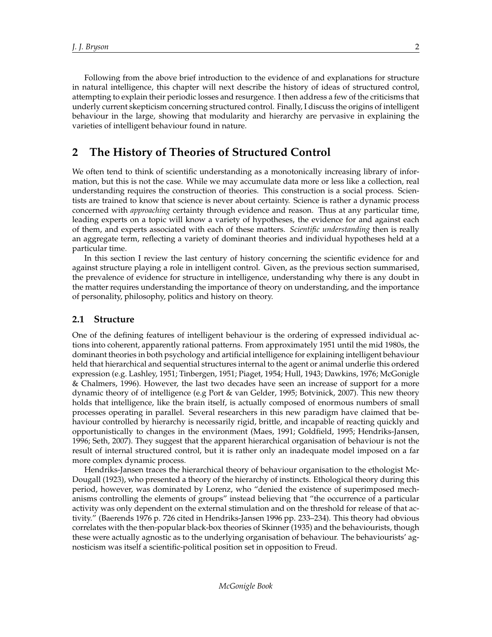Following from the above brief introduction to the evidence of and explanations for structure in natural intelligence, this chapter will next describe the history of ideas of structured control, attempting to explain their periodic losses and resurgence. I then address a few of the criticisms that underly current skepticism concerning structured control. Finally, I discuss the origins of intelligent behaviour in the large, showing that modularity and hierarchy are pervasive in explaining the varieties of intelligent behaviour found in nature.

# **2 The History of Theories of Structured Control**

We often tend to think of scientific understanding as a monotonically increasing library of information, but this is not the case. While we may accumulate data more or less like a collection, real understanding requires the construction of theories. This construction is a social process. Scientists are trained to know that science is never about certainty. Science is rather a dynamic process concerned with *approaching* certainty through evidence and reason. Thus at any particular time, leading experts on a topic will know a variety of hypotheses, the evidence for and against each of them, and experts associated with each of these matters. *Scientific understanding* then is really an aggregate term, reflecting a variety of dominant theories and individual hypotheses held at a particular time.

In this section I review the last century of history concerning the scientific evidence for and against structure playing a role in intelligent control. Given, as the previous section summarised, the prevalence of evidence for structure in intelligence, understanding why there is any doubt in the matter requires understanding the importance of theory on understanding, and the importance of personality, philosophy, politics and history on theory.

#### **2.1 Structure**

One of the defining features of intelligent behaviour is the ordering of expressed individual actions into coherent, apparently rational patterns. From approximately 1951 until the mid 1980s, the dominant theories in both psychology and artificial intelligence for explaining intelligent behaviour held that hierarchical and sequential structures internal to the agent or animal underlie this ordered expression (e.g. Lashley, 1951; Tinbergen, 1951; Piaget, 1954; Hull, 1943; Dawkins, 1976; McGonigle & Chalmers, 1996). However, the last two decades have seen an increase of support for a more dynamic theory of of intelligence (e.g Port & van Gelder, 1995; Botvinick, 2007). This new theory holds that intelligence, like the brain itself, is actually composed of enormous numbers of small processes operating in parallel. Several researchers in this new paradigm have claimed that behaviour controlled by hierarchy is necessarily rigid, brittle, and incapable of reacting quickly and opportunistically to changes in the environment (Maes, 1991; Goldfield, 1995; Hendriks-Jansen, 1996; Seth, 2007). They suggest that the apparent hierarchical organisation of behaviour is not the result of internal structured control, but it is rather only an inadequate model imposed on a far more complex dynamic process.

Hendriks-Jansen traces the hierarchical theory of behaviour organisation to the ethologist Mc-Dougall (1923), who presented a theory of the hierarchy of instincts. Ethological theory during this period, however, was dominated by Lorenz, who "denied the existence of superimposed mechanisms controlling the elements of groups" instead believing that "the occurrence of a particular activity was only dependent on the external stimulation and on the threshold for release of that activity." (Baerends 1976 p. 726 cited in Hendriks-Jansen 1996 pp. 233–234). This theory had obvious correlates with the then-popular black-box theories of Skinner (1935) and the behaviourists, though these were actually agnostic as to the underlying organisation of behaviour. The behaviourists' agnosticism was itself a scientific-political position set in opposition to Freud.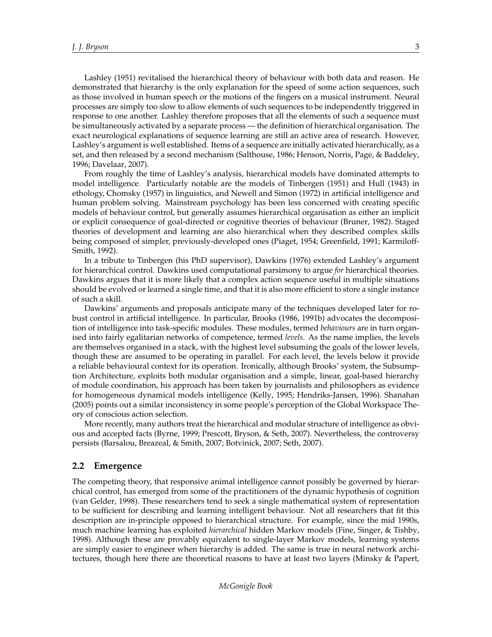Lashley (1951) revitalised the hierarchical theory of behaviour with both data and reason. He demonstrated that hierarchy is the only explanation for the speed of some action sequences, such as those involved in human speech or the motions of the fingers on a musical instrument. Neural processes are simply too slow to allow elements of such sequences to be independently triggered in response to one another. Lashley therefore proposes that all the elements of such a sequence must be simultaneously activated by a separate process — the definition of hierarchical organisation. The exact neurological explanations of sequence learning are still an active area of research. However, Lashley's argument is well established. Items of a sequence are initially activated hierarchically, as a set, and then released by a second mechanism (Salthouse, 1986; Henson, Norris, Page, & Baddeley, 1996; Davelaar, 2007).

From roughly the time of Lashley's analysis, hierarchical models have dominated attempts to model intelligence. Particularly notable are the models of Tinbergen (1951) and Hull (1943) in ethology, Chomsky (1957) in linguistics, and Newell and Simon (1972) in artificial intelligence and human problem solving. Mainstream psychology has been less concerned with creating specific models of behaviour control, but generally assumes hierarchical organisation as either an implicit or explicit consequence of goal-directed or cognitive theories of behaviour (Bruner, 1982). Staged theories of development and learning are also hierarchical when they described complex skills being composed of simpler, previously-developed ones (Piaget, 1954; Greenfield, 1991; Karmiloff-Smith, 1992).

In a tribute to Tinbergen (his PhD supervisor), Dawkins (1976) extended Lashley's argument for hierarchical control. Dawkins used computational parsimony to argue *for* hierarchical theories. Dawkins argues that it is more likely that a complex action sequence useful in multiple situations should be evolved or learned a single time, and that it is also more efficient to store a single instance of such a skill.

Dawkins' arguments and proposals anticipate many of the techniques developed later for robust control in artificial intelligence. In particular, Brooks (1986, 1991b) advocates the decomposition of intelligence into task-specific modules. These modules, termed *behaviours* are in turn organised into fairly egalitarian networks of competence, termed *levels*. As the name implies, the levels are themselves organised in a stack, with the highest level subsuming the goals of the lower levels, though these are assumed to be operating in parallel. For each level, the levels below it provide a reliable behavioural context for its operation. Ironically, although Brooks' system, the Subsumption Architecture, exploits both modular organisation and a simple, linear, goal-based hierarchy of module coordination, his approach has been taken by journalists and philosophers as evidence for homogeneous dynamical models intelligence (Kelly, 1995; Hendriks-Jansen, 1996). Shanahan (2005) points out a similar inconsistency in some people's perception of the Global Workspace Theory of conscious action selection.

More recently, many authors treat the hierarchical and modular structure of intelligence as obvious and accepted facts (Byrne, 1999; Prescott, Bryson, & Seth, 2007). Nevertheless, the controversy persists (Barsalou, Breazeal, & Smith, 2007; Botvinick, 2007; Seth, 2007).

#### **2.2 Emergence**

The competing theory, that responsive animal intelligence cannot possibly be governed by hierarchical control, has emerged from some of the practitioners of the dynamic hypothesis of cognition (van Gelder, 1998). These researchers tend to seek a single mathematical system of representation to be sufficient for describing and learning intelligent behaviour. Not all researchers that fit this description are in-principle opposed to hierarchical structure. For example, since the mid 1990s, much machine learning has exploited *hierarchical* hidden Markov models (Fine, Singer, & Tishby, 1998). Although these are provably equivalent to single-layer Markov models, learning systems are simply easier to engineer when hierarchy is added. The same is true in neural network architectures, though here there are theoretical reasons to have at least two layers (Minsky & Papert,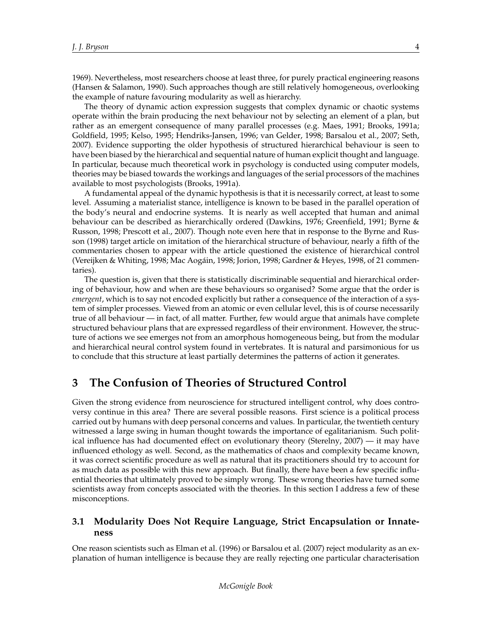1969). Nevertheless, most researchers choose at least three, for purely practical engineering reasons (Hansen & Salamon, 1990). Such approaches though are still relatively homogeneous, overlooking the example of nature favouring modularity as well as hierarchy.

The theory of dynamic action expression suggests that complex dynamic or chaotic systems operate within the brain producing the next behaviour not by selecting an element of a plan, but rather as an emergent consequence of many parallel processes (e.g. Maes, 1991; Brooks, 1991a; Goldfield, 1995; Kelso, 1995; Hendriks-Jansen, 1996; van Gelder, 1998; Barsalou et al., 2007; Seth, 2007). Evidence supporting the older hypothesis of structured hierarchical behaviour is seen to have been biased by the hierarchical and sequential nature of human explicit thought and language. In particular, because much theoretical work in psychology is conducted using computer models, theories may be biased towards the workings and languages of the serial processors of the machines available to most psychologists (Brooks, 1991a).

A fundamental appeal of the dynamic hypothesis is that it is necessarily correct, at least to some level. Assuming a materialist stance, intelligence is known to be based in the parallel operation of the body's neural and endocrine systems. It is nearly as well accepted that human and animal behaviour can be described as hierarchically ordered (Dawkins, 1976; Greenfield, 1991; Byrne & Russon, 1998; Prescott et al., 2007). Though note even here that in response to the Byrne and Russon (1998) target article on imitation of the hierarchical structure of behaviour, nearly a fifth of the commentaries chosen to appear with the article questioned the existence of hierarchical control (Vereijken & Whiting, 1998; Mac Aogain, 1998; Jorion, 1998; Gardner & Heyes, 1998, of 21 commen- ´ taries).

The question is, given that there is statistically discriminable sequential and hierarchical ordering of behaviour, how and when are these behaviours so organised? Some argue that the order is *emergent*, which is to say not encoded explicitly but rather a consequence of the interaction of a system of simpler processes. Viewed from an atomic or even cellular level, this is of course necessarily true of all behaviour — in fact, of all matter. Further, few would argue that animals have complete structured behaviour plans that are expressed regardless of their environment. However, the structure of actions we see emerges not from an amorphous homogeneous being, but from the modular and hierarchical neural control system found in vertebrates. It is natural and parsimonious for us to conclude that this structure at least partially determines the patterns of action it generates.

## **3 The Confusion of Theories of Structured Control**

Given the strong evidence from neuroscience for structured intelligent control, why does controversy continue in this area? There are several possible reasons. First science is a political process carried out by humans with deep personal concerns and values. In particular, the twentieth century witnessed a large swing in human thought towards the importance of egalitarianism. Such political influence has had documented effect on evolutionary theory (Sterelny, 2007) — it may have influenced ethology as well. Second, as the mathematics of chaos and complexity became known, it was correct scientific procedure as well as natural that its practitioners should try to account for as much data as possible with this new approach. But finally, there have been a few specific influential theories that ultimately proved to be simply wrong. These wrong theories have turned some scientists away from concepts associated with the theories. In this section I address a few of these misconceptions.

## **3.1 Modularity Does Not Require Language, Strict Encapsulation or Innateness**

One reason scientists such as Elman et al. (1996) or Barsalou et al. (2007) reject modularity as an explanation of human intelligence is because they are really rejecting one particular characterisation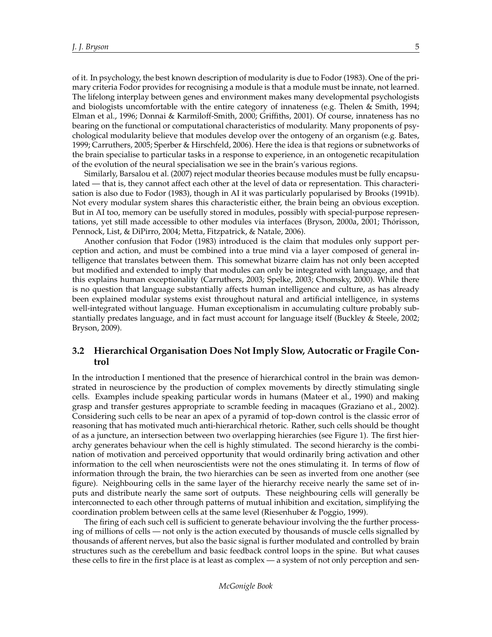of it. In psychology, the best known description of modularity is due to Fodor (1983). One of the primary criteria Fodor provides for recognising a module is that a module must be innate, not learned. The lifelong interplay between genes and environment makes many developmental psychologists and biologists uncomfortable with the entire category of innateness (e.g. Thelen & Smith, 1994; Elman et al., 1996; Donnai & Karmiloff-Smith, 2000; Griffiths, 2001). Of course, innateness has no bearing on the functional or computational characteristics of modularity. Many proponents of psychological modularity believe that modules develop over the ontogeny of an organism (e.g. Bates, 1999; Carruthers, 2005; Sperber & Hirschfeld, 2006). Here the idea is that regions or subnetworks of the brain specialise to particular tasks in a response to experience, in an ontogenetic recapitulation of the evolution of the neural specialisation we see in the brain's various regions.

Similarly, Barsalou et al. (2007) reject modular theories because modules must be fully encapsulated — that is, they cannot affect each other at the level of data or representation. This characterisation is also due to Fodor (1983), though in AI it was particularly popularised by Brooks (1991b). Not every modular system shares this characteristic either, the brain being an obvious exception. But in AI too, memory can be usefully stored in modules, possibly with special-purpose representations, yet still made accessible to other modules via interfaces (Bryson, 2000a, 2001; Thorisson, ´ Pennock, List, & DiPirro, 2004; Metta, Fitzpatrick, & Natale, 2006).

Another confusion that Fodor (1983) introduced is the claim that modules only support perception and action, and must be combined into a true mind via a layer composed of general intelligence that translates between them. This somewhat bizarre claim has not only been accepted but modified and extended to imply that modules can only be integrated with language, and that this explains human exceptionality (Carruthers, 2003; Spelke, 2003; Chomsky, 2000). While there is no question that language substantially affects human intelligence and culture, as has already been explained modular systems exist throughout natural and artificial intelligence, in systems well-integrated without language. Human exceptionalism in accumulating culture probably substantially predates language, and in fact must account for language itself (Buckley & Steele, 2002; Bryson, 2009).

### **3.2 Hierarchical Organisation Does Not Imply Slow, Autocratic or Fragile Control**

In the introduction I mentioned that the presence of hierarchical control in the brain was demonstrated in neuroscience by the production of complex movements by directly stimulating single cells. Examples include speaking particular words in humans (Mateer et al., 1990) and making grasp and transfer gestures appropriate to scramble feeding in macaques (Graziano et al., 2002). Considering such cells to be near an apex of a pyramid of top-down control is the classic error of reasoning that has motivated much anti-hierarchical rhetoric. Rather, such cells should be thought of as a juncture, an intersection between two overlapping hierarchies (see Figure 1). The first hierarchy generates behaviour when the cell is highly stimulated. The second hierarchy is the combination of motivation and perceived opportunity that would ordinarily bring activation and other information to the cell when neuroscientists were not the ones stimulating it. In terms of flow of information through the brain, the two hierarchies can be seen as inverted from one another (see figure). Neighbouring cells in the same layer of the hierarchy receive nearly the same set of inputs and distribute nearly the same sort of outputs. These neighbouring cells will generally be interconnected to each other through patterns of mutual inhibition and excitation, simplifying the coordination problem between cells at the same level (Riesenhuber & Poggio, 1999).

The firing of each such cell is sufficient to generate behaviour involving the the further processing of millions of cells — not only is the action executed by thousands of muscle cells signalled by thousands of afferent nerves, but also the basic signal is further modulated and controlled by brain structures such as the cerebellum and basic feedback control loops in the spine. But what causes these cells to fire in the first place is at least as complex — a system of not only perception and sen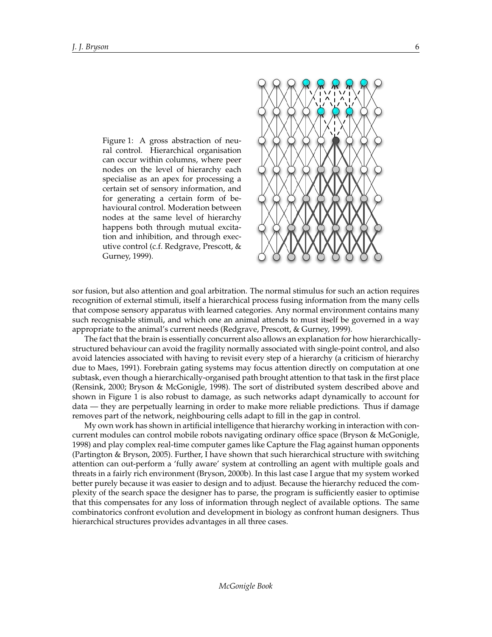Figure 1: A gross abstraction of neural control. Hierarchical organisation can occur within columns, where peer nodes on the level of hierarchy each specialise as an apex for processing a certain set of sensory information, and for generating a certain form of behavioural control. Moderation between nodes at the same level of hierarchy happens both through mutual excitation and inhibition, and through executive control (c.f. Redgrave, Prescott, & Gurney, 1999).



sor fusion, but also attention and goal arbitration. The normal stimulus for such an action requires recognition of external stimuli, itself a hierarchical process fusing information from the many cells that compose sensory apparatus with learned categories. Any normal environment contains many such recognisable stimuli, and which one an animal attends to must itself be governed in a way appropriate to the animal's current needs (Redgrave, Prescott, & Gurney, 1999).

The fact that the brain is essentially concurrent also allows an explanation for how hierarchicallystructured behaviour can avoid the fragility normally associated with single-point control, and also avoid latencies associated with having to revisit every step of a hierarchy (a criticism of hierarchy due to Maes, 1991). Forebrain gating systems may focus attention directly on computation at one subtask, even though a hierarchically-organised path brought attention to that task in the first place (Rensink, 2000; Bryson & McGonigle, 1998). The sort of distributed system described above and shown in Figure 1 is also robust to damage, as such networks adapt dynamically to account for data — they are perpetually learning in order to make more reliable predictions. Thus if damage removes part of the network, neighbouring cells adapt to fill in the gap in control.

My own work has shown in artificial intelligence that hierarchy working in interaction with concurrent modules can control mobile robots navigating ordinary office space (Bryson & McGonigle, 1998) and play complex real-time computer games like Capture the Flag against human opponents (Partington & Bryson, 2005). Further, I have shown that such hierarchical structure with switching attention can out-perform a 'fully aware' system at controlling an agent with multiple goals and threats in a fairly rich environment (Bryson, 2000b). In this last case I argue that my system worked better purely because it was easier to design and to adjust. Because the hierarchy reduced the complexity of the search space the designer has to parse, the program is sufficiently easier to optimise that this compensates for any loss of information through neglect of available options. The same combinatorics confront evolution and development in biology as confront human designers. Thus hierarchical structures provides advantages in all three cases.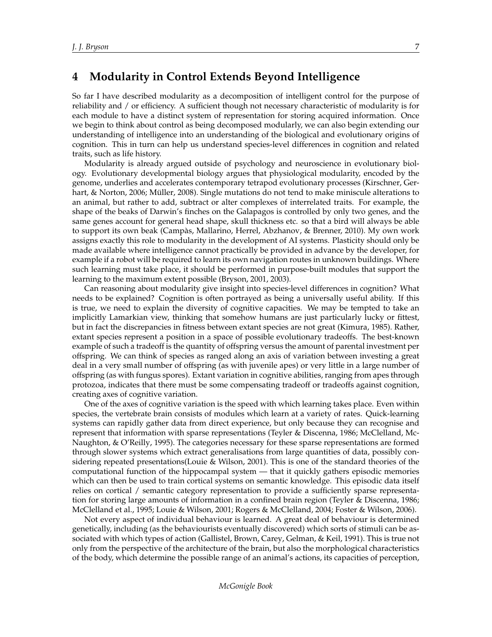## **4 Modularity in Control Extends Beyond Intelligence**

So far I have described modularity as a decomposition of intelligent control for the purpose of reliability and / or efficiency. A sufficient though not necessary characteristic of modularity is for each module to have a distinct system of representation for storing acquired information. Once we begin to think about control as being decomposed modularly, we can also begin extending our understanding of intelligence into an understanding of the biological and evolutionary origins of cognition. This in turn can help us understand species-level differences in cognition and related traits, such as life history.

Modularity is already argued outside of psychology and neuroscience in evolutionary biology. Evolutionary developmental biology argues that physiological modularity, encoded by the genome, underlies and accelerates contemporary tetrapod evolutionary processes (Kirschner, Gerhart, & Norton, 2006; Muller, 2008). Single mutations do not tend to make miniscule alterations to ¨ an animal, but rather to add, subtract or alter complexes of interrelated traits. For example, the shape of the beaks of Darwin's finches on the Galapagos is controlled by only two genes, and the same genes account for general head shape, skull thickness etc. so that a bird will always be able to support its own beak (Campàs, Mallarino, Herrel, Abzhanov, & Brenner, 2010). My own work assigns exactly this role to modularity in the development of AI systems. Plasticity should only be made available where intelligence cannot practically be provided in advance by the developer, for example if a robot will be required to learn its own navigation routes in unknown buildings. Where such learning must take place, it should be performed in purpose-built modules that support the learning to the maximum extent possible (Bryson, 2001, 2003).

Can reasoning about modularity give insight into species-level differences in cognition? What needs to be explained? Cognition is often portrayed as being a universally useful ability. If this is true, we need to explain the diversity of cognitive capacities. We may be tempted to take an implicitly Lamarkian view, thinking that somehow humans are just particularly lucky or fittest, but in fact the discrepancies in fitness between extant species are not great (Kimura, 1985). Rather, extant species represent a position in a space of possible evolutionary tradeoffs. The best-known example of such a tradeoff is the quantity of offspring versus the amount of parental investment per offspring. We can think of species as ranged along an axis of variation between investing a great deal in a very small number of offspring (as with juvenile apes) or very little in a large number of offspring (as with fungus spores). Extant variation in cognitive abilities, ranging from apes through protozoa, indicates that there must be some compensating tradeoff or tradeoffs against cognition, creating axes of cognitive variation.

One of the axes of cognitive variation is the speed with which learning takes place. Even within species, the vertebrate brain consists of modules which learn at a variety of rates. Quick-learning systems can rapidly gather data from direct experience, but only because they can recognise and represent that information with sparse representations (Teyler & Discenna, 1986; McClelland, Mc-Naughton, & O'Reilly, 1995). The categories necessary for these sparse representations are formed through slower systems which extract generalisations from large quantities of data, possibly considering repeated presentations(Louie & Wilson, 2001). This is one of the standard theories of the computational function of the hippocampal system — that it quickly gathers episodic memories which can then be used to train cortical systems on semantic knowledge. This episodic data itself relies on cortical / semantic category representation to provide a sufficiently sparse representation for storing large amounts of information in a confined brain region (Teyler & Discenna, 1986; McClelland et al., 1995; Louie & Wilson, 2001; Rogers & McClelland, 2004; Foster & Wilson, 2006).

Not every aspect of individual behaviour is learned. A great deal of behaviour is determined genetically, including (as the behaviourists eventually discovered) which sorts of stimuli can be associated with which types of action (Gallistel, Brown, Carey, Gelman, & Keil, 1991). This is true not only from the perspective of the architecture of the brain, but also the morphological characteristics of the body, which determine the possible range of an animal's actions, its capacities of perception,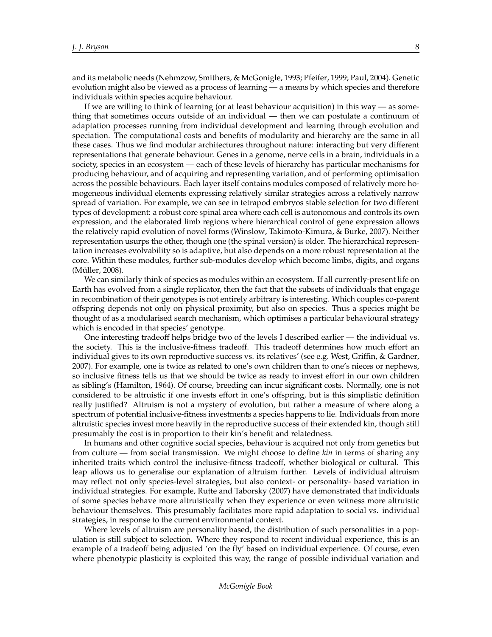and its metabolic needs (Nehmzow, Smithers, & McGonigle, 1993; Pfeifer, 1999; Paul, 2004). Genetic evolution might also be viewed as a process of learning — a means by which species and therefore individuals within species acquire behaviour.

If we are willing to think of learning (or at least behaviour acquisition) in this way — as something that sometimes occurs outside of an individual — then we can postulate a continuum of adaptation processes running from individual development and learning through evolution and speciation. The computational costs and benefits of modularity and hierarchy are the same in all these cases. Thus we find modular architectures throughout nature: interacting but very different representations that generate behaviour. Genes in a genome, nerve cells in a brain, individuals in a society, species in an ecosystem — each of these levels of hierarchy has particular mechanisms for producing behaviour, and of acquiring and representing variation, and of performing optimisation across the possible behaviours. Each layer itself contains modules composed of relatively more homogeneous individual elements expressing relatively similar strategies across a relatively narrow spread of variation. For example, we can see in tetrapod embryos stable selection for two different types of development: a robust core spinal area where each cell is autonomous and controls its own expression, and the elaborated limb regions where hierarchical control of gene expression allows the relatively rapid evolution of novel forms (Winslow, Takimoto-Kimura, & Burke, 2007). Neither representation usurps the other, though one (the spinal version) is older. The hierarchical representation increases evolvability so is adaptive, but also depends on a more robust representation at the core. Within these modules, further sub-modules develop which become limbs, digits, and organs (Müller, 2008).

We can similarly think of species as modules within an ecosystem. If all currently-present life on Earth has evolved from a single replicator, then the fact that the subsets of individuals that engage in recombination of their genotypes is not entirely arbitrary is interesting. Which couples co-parent offspring depends not only on physical proximity, but also on species. Thus a species might be thought of as a modularised search mechanism, which optimises a particular behavioural strategy which is encoded in that species' genotype.

One interesting tradeoff helps bridge two of the levels I described earlier — the individual vs. the society. This is the inclusive-fitness tradeoff. This tradeoff determines how much effort an individual gives to its own reproductive success vs. its relatives' (see e.g. West, Griffin, & Gardner, 2007). For example, one is twice as related to one's own children than to one's nieces or nephews, so inclusive fitness tells us that we should be twice as ready to invest effort in our own children as sibling's (Hamilton, 1964). Of course, breeding can incur significant costs. Normally, one is not considered to be altruistic if one invests effort in one's offspring, but is this simplistic definition really justified? Altruism is not a mystery of evolution, but rather a measure of where along a spectrum of potential inclusive-fitness investments a species happens to lie. Individuals from more altruistic species invest more heavily in the reproductive success of their extended kin, though still presumably the cost is in proportion to their kin's benefit and relatedness.

In humans and other cognitive social species, behaviour is acquired not only from genetics but from culture — from social transmission. We might choose to define *kin* in terms of sharing any inherited traits which control the inclusive-fitness tradeoff, whether biological or cultural. This leap allows us to generalise our explanation of altruism further. Levels of individual altruism may reflect not only species-level strategies, but also context- or personality- based variation in individual strategies. For example, Rutte and Taborsky (2007) have demonstrated that individuals of some species behave more altruistically when they experience or even witness more altruistic behaviour themselves. This presumably facilitates more rapid adaptation to social vs. individual strategies, in response to the current environmental context.

Where levels of altruism are personality based, the distribution of such personalities in a population is still subject to selection. Where they respond to recent individual experience, this is an example of a tradeoff being adjusted 'on the fly' based on individual experience. Of course, even where phenotypic plasticity is exploited this way, the range of possible individual variation and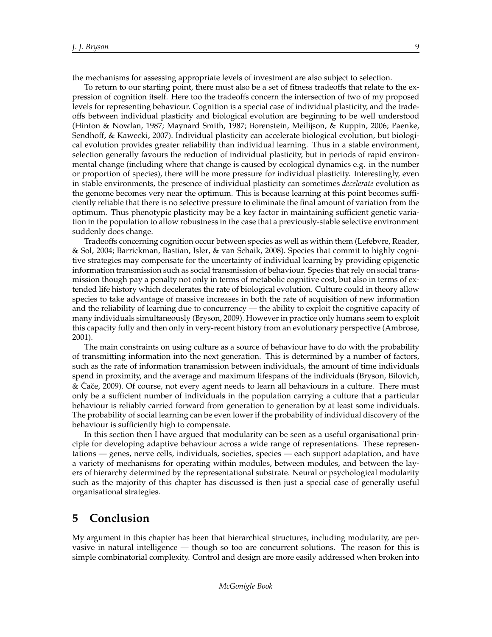the mechanisms for assessing appropriate levels of investment are also subject to selection.

To return to our starting point, there must also be a set of fitness tradeoffs that relate to the expression of cognition itself. Here too the tradeoffs concern the intersection of two of my proposed levels for representing behaviour. Cognition is a special case of individual plasticity, and the tradeoffs between individual plasticity and biological evolution are beginning to be well understood (Hinton & Nowlan, 1987; Maynard Smith, 1987; Borenstein, Meilijson, & Ruppin, 2006; Paenke, Sendhoff, & Kawecki, 2007). Individual plasticity can accelerate biological evolution, but biological evolution provides greater reliability than individual learning. Thus in a stable environment, selection generally favours the reduction of individual plasticity, but in periods of rapid environmental change (including where that change is caused by ecological dynamics e.g. in the number or proportion of species), there will be more pressure for individual plasticity. Interestingly, even in stable environments, the presence of individual plasticity can sometimes *decelerate* evolution as the genome becomes very near the optimum. This is because learning at this point becomes sufficiently reliable that there is no selective pressure to eliminate the final amount of variation from the optimum. Thus phenotypic plasticity may be a key factor in maintaining sufficient genetic variation in the population to allow robustness in the case that a previously-stable selective environment suddenly does change.

Tradeoffs concerning cognition occur between species as well as within them (Lefebvre, Reader, & Sol, 2004; Barrickman, Bastian, Isler, & van Schaik, 2008). Species that commit to highly cognitive strategies may compensate for the uncertainty of individual learning by providing epigenetic information transmission such as social transmission of behaviour. Species that rely on social transmission though pay a penalty not only in terms of metabolic cognitive cost, but also in terms of extended life history which decelerates the rate of biological evolution. Culture could in theory allow species to take advantage of massive increases in both the rate of acquisition of new information and the reliability of learning due to concurrency — the ability to exploit the cognitive capacity of many individuals simultaneously (Bryson, 2009). However in practice only humans seem to exploit this capacity fully and then only in very-recent history from an evolutionary perspective (Ambrose, 2001).

The main constraints on using culture as a source of behaviour have to do with the probability of transmitting information into the next generation. This is determined by a number of factors, such as the rate of information transmission between individuals, the amount of time individuals spend in proximity, and the average and maximum lifespans of the individuals (Bryson, Bilovich, &  $\dot{C}$  ca $\dot{c}$  ce, 2009). Of course, not every agent needs to learn all behaviours in a culture. There must only be a sufficient number of individuals in the population carrying a culture that a particular behaviour is reliably carried forward from generation to generation by at least some individuals. The probability of social learning can be even lower if the probability of individual discovery of the behaviour is sufficiently high to compensate.

In this section then I have argued that modularity can be seen as a useful organisational principle for developing adaptive behaviour across a wide range of representations. These representations — genes, nerve cells, individuals, societies, species — each support adaptation, and have a variety of mechanisms for operating within modules, between modules, and between the layers of hierarchy determined by the representational substrate. Neural or psychological modularity such as the majority of this chapter has discussed is then just a special case of generally useful organisational strategies.

## **5 Conclusion**

My argument in this chapter has been that hierarchical structures, including modularity, are pervasive in natural intelligence — though so too are concurrent solutions. The reason for this is simple combinatorial complexity. Control and design are more easily addressed when broken into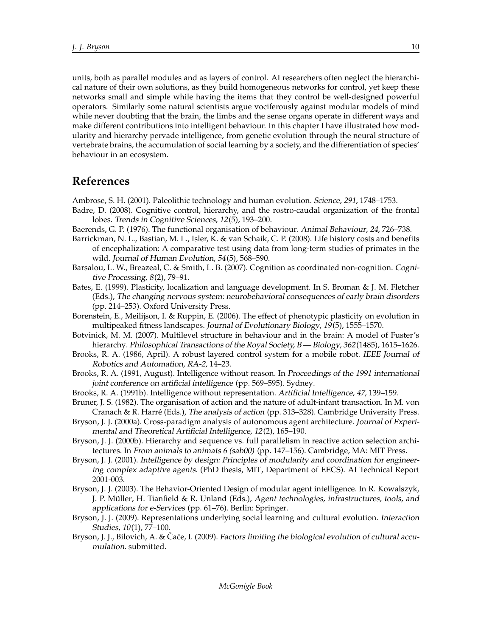units, both as parallel modules and as layers of control. AI researchers often neglect the hierarchical nature of their own solutions, as they build homogeneous networks for control, yet keep these networks small and simple while having the items that they control be well-designed powerful operators. Similarly some natural scientists argue vociferously against modular models of mind while never doubting that the brain, the limbs and the sense organs operate in different ways and make different contributions into intelligent behaviour. In this chapter I have illustrated how modularity and hierarchy pervade intelligence, from genetic evolution through the neural structure of vertebrate brains, the accumulation of social learning by a society, and the differentiation of species' behaviour in an ecosystem.

## **References**

Ambrose, S. H. (2001). Paleolithic technology and human evolution. Science, 291, 1748–1753.

- Badre, D. (2008). Cognitive control, hierarchy, and the rostro-caudal organization of the frontal lobes. Trends in Cognitive Sciences, 12(5), 193–200.
- Baerends, G. P. (1976). The functional organisation of behaviour. Animal Behaviour, 24, 726–738.
- Barrickman, N. L., Bastian, M. L., Isler, K. & van Schaik, C. P. (2008). Life history costs and benefits of encephalization: A comparative test using data from long-term studies of primates in the wild. Journal of Human Evolution, 54(5), 568–590.
- Barsalou, L. W., Breazeal, C. & Smith, L. B. (2007). Cognition as coordinated non-cognition. Cognitive Processing, 8(2), 79–91.
- Bates, E. (1999). Plasticity, localization and language development. In S. Broman & J. M. Fletcher (Eds.), The changing nervous system: neurobehavioral consequences of early brain disorders (pp. 214–253). Oxford University Press.
- Borenstein, E., Meilijson, I. & Ruppin, E. (2006). The effect of phenotypic plasticity on evolution in multipeaked fitness landscapes. Journal of Evolutionary Biology, 19(5), 1555–1570.

Botvinick, M. M. (2007). Multilevel structure in behaviour and in the brain: A model of Fuster's hierarchy. Philosophical Transactions of the Royal Society, B - Biology, 362(1485), 1615-1626.

- Brooks, R. A. (1986, April). A robust layered control system for a mobile robot. IEEE Journal of Robotics and Automation, RA-2, 14–23.
- Brooks, R. A. (1991, August). Intelligence without reason. In *Proceedings of the 1991 international* joint conference on artificial intelligence (pp. 569–595). Sydney.
- Brooks, R. A. (1991b). Intelligence without representation. Artificial Intelligence, 47, 139–159.
- Bruner, J. S. (1982). The organisation of action and the nature of adult-infant transaction. In M. von Cranach & R. Harré (Eds.), The analysis of action (pp. 313–328). Cambridge University Press.
- Bryson, J. J. (2000a). Cross-paradigm analysis of autonomous agent architecture. Journal of Experimental and Theoretical Artificial Intelligence, 12(2), 165–190.
- Bryson, J. J. (2000b). Hierarchy and sequence vs. full parallelism in reactive action selection architectures. In From animals to animats 6 (sab00) (pp. 147–156). Cambridge, MA: MIT Press.
- Bryson, J. J. (2001). Intelligence by design: Principles of modularity and coordination for engineering complex adaptive agents. (PhD thesis, MIT, Department of EECS). AI Technical Report 2001-003.
- Bryson, J. J. (2003). The Behavior-Oriented Design of modular agent intelligence. In R. Kowalszyk, J. P. Müller, H. Tianfield & R. Unland (Eds.), Agent technologies, infrastructures, tools, and applications for e-Services (pp. 61–76). Berlin: Springer.
- Bryson, J. J. (2009). Representations underlying social learning and cultural evolution. Interaction Studies, 10(1), 77–100.
- Bryson, J. J., Bilovich, A. & Čače, I. (2009). *Factors limiting the biological evolution of cultural accu*mulation. submitted.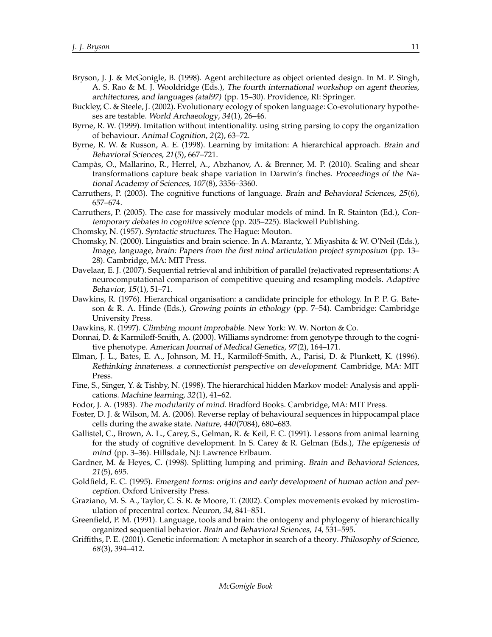- Bryson, J. J. & McGonigle, B. (1998). Agent architecture as object oriented design. In M. P. Singh, A. S. Rao & M. J. Wooldridge (Eds.), The fourth international workshop on agent theories, architectures, and languages (atal97) (pp. 15–30). Providence, RI: Springer.
- Buckley, C. & Steele, J. (2002). Evolutionary ecology of spoken language: Co-evolutionary hypotheses are testable. World Archaeology, 34(1), 26–46.
- Byrne, R. W. (1999). Imitation without intentionality. using string parsing to copy the organization of behaviour. Animal Cognition, 2(2), 63–72.
- Byrne, R. W. & Russon, A. E. (1998). Learning by imitation: A hierarchical approach. Brain and Behavioral Sciences, 21(5), 667–721.
- Campas, O., Mallarino, R., Herrel, A., Abzhanov, A. & Brenner, M. P. (2010). Scaling and shear ` transformations capture beak shape variation in Darwin's finches. Proceedings of the National Academy of Sciences, 107(8), 3356–3360.
- Carruthers, P. (2003). The cognitive functions of language. Brain and Behavioral Sciences, 25(6), 657–674.
- Carruthers, P. (2005). The case for massively modular models of mind. In R. Stainton (Ed.), Contemporary debates in cognitive science (pp. 205–225). Blackwell Publishing.
- Chomsky, N. (1957). Syntactic structures. The Hague: Mouton.
- Chomsky, N. (2000). Linguistics and brain science. In A. Marantz, Y. Miyashita & W. O'Neil (Eds.), Image, language, brain: Papers from the first mind articulation project symposium (pp. 13– 28). Cambridge, MA: MIT Press.
- Davelaar, E. J. (2007). Sequential retrieval and inhibition of parallel (re)activated representations: A neurocomputational comparison of competitive queuing and resampling models. Adaptive Behavior, 15(1), 51–71.
- Dawkins, R. (1976). Hierarchical organisation: a candidate principle for ethology. In P. P. G. Bateson & R. A. Hinde (Eds.), Growing points in ethology (pp. 7–54). Cambridge: Cambridge University Press.
- Dawkins, R. (1997). Climbing mount improbable. New York: W. W. Norton & Co.
- Donnai, D. & Karmiloff-Smith, A. (2000). Williams syndrome: from genotype through to the cognitive phenotype. American Journal of Medical Genetics, 97(2), 164–171.
- Elman, J. L., Bates, E. A., Johnson, M. H., Karmiloff-Smith, A., Parisi, D. & Plunkett, K. (1996). Rethinking innateness. a connectionist perspective on development. Cambridge, MA: MIT Press.
- Fine, S., Singer, Y. & Tishby, N. (1998). The hierarchical hidden Markov model: Analysis and applications. Machine learning, 32(1), 41–62.
- Fodor, J. A. (1983). The modularity of mind. Bradford Books. Cambridge, MA: MIT Press.
- Foster, D. J. & Wilson, M. A. (2006). Reverse replay of behavioural sequences in hippocampal place cells during the awake state. Nature, 440(7084), 680–683.
- Gallistel, C., Brown, A. L., Carey, S., Gelman, R. & Keil, F. C. (1991). Lessons from animal learning for the study of cognitive development. In S. Carey & R. Gelman (Eds.), The epigenesis of mind (pp. 3–36). Hillsdale, NJ: Lawrence Erlbaum.
- Gardner, M. & Heyes, C. (1998). Splitting lumping and priming. Brain and Behavioral Sciences, 21(5), 695.
- Goldfield, E. C. (1995). Emergent forms: origins and early development of human action and perception. Oxford University Press.
- Graziano, M. S. A., Taylor, C. S. R. & Moore, T. (2002). Complex movements evoked by microstimulation of precentral cortex. Neuron, 34, 841–851.
- Greenfield, P. M. (1991). Language, tools and brain: the ontogeny and phylogeny of hierarchically organized sequential behavior. Brain and Behavioral Sciences, 14, 531–595.
- Griffiths, P. E. (2001). Genetic information: A metaphor in search of a theory. Philosophy of Science, 68(3), 394–412.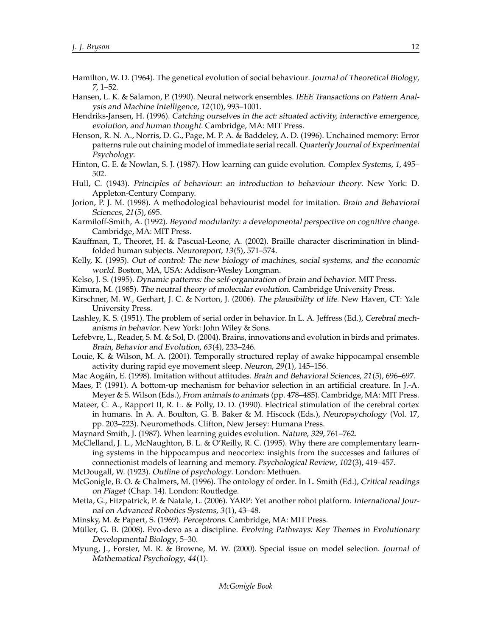- Hamilton, W. D. (1964). The genetical evolution of social behaviour. Journal of Theoretical Biology, 7, 1–52.
- Hansen, L. K. & Salamon, P. (1990). Neural network ensembles. IEEE Transactions on Pattern Analysis and Machine Intelligence, 12(10), 993–1001.
- Hendriks-Jansen, H. (1996). Catching ourselves in the act: situated activity, interactive emergence, evolution, and human thought. Cambridge, MA: MIT Press.
- Henson, R. N. A., Norris, D. G., Page, M. P. A. & Baddeley, A. D. (1996). Unchained memory: Error patterns rule out chaining model of immediate serial recall. Quarterly Journal of Experimental Psychology.
- Hinton, G. E. & Nowlan, S. J. (1987). How learning can guide evolution. Complex Systems, 1, 495– 502.
- Hull, C. (1943). Principles of behaviour: an introduction to behaviour theory. New York: D. Appleton-Century Company.
- Jorion, P. J. M. (1998). A methodological behaviourist model for imitation. Brain and Behavioral Sciences, 21(5), 695.
- Karmiloff-Smith, A. (1992). Beyond modularity: a developmental perspective on cognitive change. Cambridge, MA: MIT Press.
- Kauffman, T., Theoret, H. & Pascual-Leone, A. (2002). Braille character discrimination in blindfolded human subjects. Neuroreport, 13(5), 571–574.
- Kelly, K. (1995). Out of control: The new biology of machines, social systems, and the economic world. Boston, MA, USA: Addison-Wesley Longman.
- Kelso, J. S. (1995). Dynamic patterns: the self-organization of brain and behavior. MIT Press.
- Kimura, M. (1985). The neutral theory of molecular evolution. Cambridge University Press.
- Kirschner, M. W., Gerhart, J. C. & Norton, J. (2006). The plausibility of life. New Haven, CT: Yale University Press.
- Lashley, K. S. (1951). The problem of serial order in behavior. In L. A. Jeffress (Ed.), Cerebral mechanisms in behavior. New York: John Wiley & Sons.
- Lefebvre, L., Reader, S. M. & Sol, D. (2004). Brains, innovations and evolution in birds and primates. Brain, Behavior and Evolution, 63(4), 233–246.
- Louie, K. & Wilson, M. A. (2001). Temporally structured replay of awake hippocampal ensemble activity during rapid eye movement sleep. Neuron, 29(1), 145–156.
- Mac Aogáin, E. (1998). Imitation without attitudes. Brain and Behavioral Sciences, 21(5), 696–697.
- Maes, P. (1991). A bottom-up mechanism for behavior selection in an artificial creature. In J.-A. Meyer & S. Wilson (Eds.), From animals to animats (pp. 478–485). Cambridge, MA: MIT Press.
- Mateer, C. A., Rapport II, R. L. & Polly, D. D. (1990). Electrical stimulation of the cerebral cortex in humans. In A. A. Boulton, G. B. Baker & M. Hiscock (Eds.), Neuropsychology (Vol. 17, pp. 203–223). Neuromethods. Clifton, New Jersey: Humana Press.
- Maynard Smith, J. (1987). When learning guides evolution. Nature, 329, 761–762.
- McClelland, J. L., McNaughton, B. L. & O'Reilly, R. C. (1995). Why there are complementary learning systems in the hippocampus and neocortex: insights from the successes and failures of connectionist models of learning and memory. Psychological Review, 102(3), 419–457.
- McDougall, W. (1923). Outline of psychology. London: Methuen.
- McGonigle, B. O. & Chalmers, M. (1996). The ontology of order. In L. Smith (Ed.), Critical readings on Piaget (Chap. 14). London: Routledge.
- Metta, G., Fitzpatrick, P. & Natale, L. (2006). YARP: Yet another robot platform. International Journal on Advanced Robotics Systems, 3(1), 43–48.
- Minsky, M. & Papert, S. (1969). Perceptrons. Cambridge, MA: MIT Press.
- Müller, G. B. (2008). Evo-devo as a discipline. Evolving Pathways: Key Themes in Evolutionary Developmental Biology, 5–30.
- Myung, J., Forster, M. R. & Browne, M. W. (2000). Special issue on model selection. Journal of Mathematical Psychology, 44(1).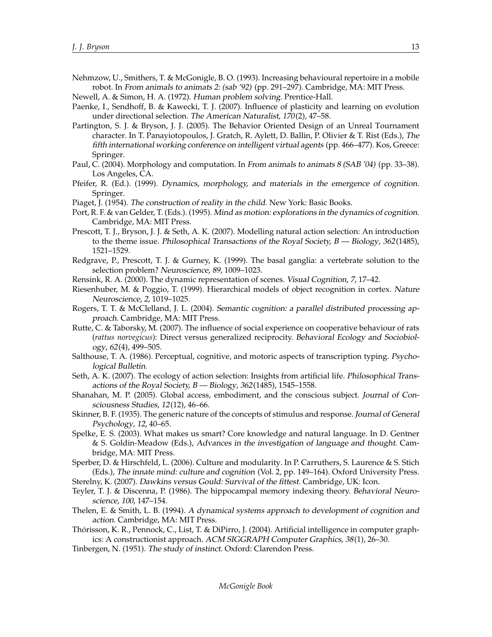Nehmzow, U., Smithers, T. & McGonigle, B. O. (1993). Increasing behavioural repertoire in a mobile robot. In From animals to animats 2: (sab '92) (pp. 291–297). Cambridge, MA: MIT Press.

Newell, A. & Simon, H. A. (1972). Human problem solving. Prentice-Hall.

- Paenke, I., Sendhoff, B. & Kawecki, T. J. (2007). Influence of plasticity and learning on evolution under directional selection. The American Naturalist, 170(2), 47–58.
- Partington, S. J. & Bryson, J. J. (2005). The Behavior Oriented Design of an Unreal Tournament character. In T. Panayiotopoulos, J. Gratch, R. Aylett, D. Ballin, P. Olivier & T. Rist (Eds.), The fifth international working conference on intelligent virtual agents (pp. 466–477). Kos, Greece: Springer.
- Paul, C. (2004). Morphology and computation. In From animals to animats 8 (SAB '04) (pp. 33–38). Los Angeles, CA.
- Pfeifer, R. (Ed.). (1999). Dynamics, morphology, and materials in the emergence of cognition. Springer.
- Piaget, J. (1954). The construction of reality in the child. New York: Basic Books.
- Port, R. F. & van Gelder, T. (Eds.). (1995). Mind as motion: explorations in the dynamics of cognition. Cambridge, MA: MIT Press.
- Prescott, T. J., Bryson, J. J. & Seth, A. K. (2007). Modelling natural action selection: An introduction to the theme issue. Philosophical Transactions of the Royal Society, B — Biology, 362(1485), 1521–1529.
- Redgrave, P., Prescott, T. J. & Gurney, K. (1999). The basal ganglia: a vertebrate solution to the selection problem? Neuroscience, 89, 1009–1023.
- Rensink, R. A. (2000). The dynamic representation of scenes. Visual Cognition, 7, 17–42.
- Riesenhuber, M. & Poggio, T. (1999). Hierarchical models of object recognition in cortex. Nature Neuroscience, 2, 1019–1025.
- Rogers, T. T. & McClelland, J. L. (2004). Semantic cognition: a parallel distributed processing approach. Cambridge, MA: MIT Press.
- Rutte, C. & Taborsky, M. (2007). The influence of social experience on cooperative behaviour of rats (*rattus norvegicus*): Direct versus generalized reciprocity. Behavioral Ecology and Sociobiology, 62(4), 499–505.
- Salthouse, T. A. (1986). Perceptual, cognitive, and motoric aspects of transcription typing. Psychological Bulletin.
- Seth, A. K. (2007). The ecology of action selection: Insights from artificial life. Philosophical Transactions of the Royal Society,  $B - Biology$ , 362(1485), 1545–1558.
- Shanahan, M. P. (2005). Global access, embodiment, and the conscious subject. Journal of Consciousness Studies, 12(12), 46–66.

Skinner, B. F. (1935). The generic nature of the concepts of stimulus and response. Journal of General Psychology, 12, 40–65.

Spelke, E. S. (2003). What makes us smart? Core knowledge and natural language. In D. Gentner & S. Goldin-Meadow (Eds.), Advances in the investigation of language and thought. Cambridge, MA: MIT Press.

Sperber, D. & Hirschfeld, L. (2006). Culture and modularity. In P. Carruthers, S. Laurence & S. Stich (Eds.), The innate mind: culture and cognition (Vol. 2, pp. 149–164). Oxford University Press.

Sterelny, K. (2007). Dawkins versus Gould: Survival of the fittest. Cambridge, UK: Icon.

- Teyler, T. J. & Discenna, P. (1986). The hippocampal memory indexing theory. Behavioral Neuroscience, 100, 147–154.
- Thelen, E. & Smith, L. B. (1994). A dynamical systems approach to development of cognition and action. Cambridge, MA: MIT Press.
- Thórisson, K. R., Pennock, C., List, T. & DiPirro, J. (2004). Artificial intelligence in computer graphics: A constructionist approach. ACM SIGGRAPH Computer Graphics, 38(1), 26–30.
- Tinbergen, N. (1951). The study of instinct. Oxford: Clarendon Press.